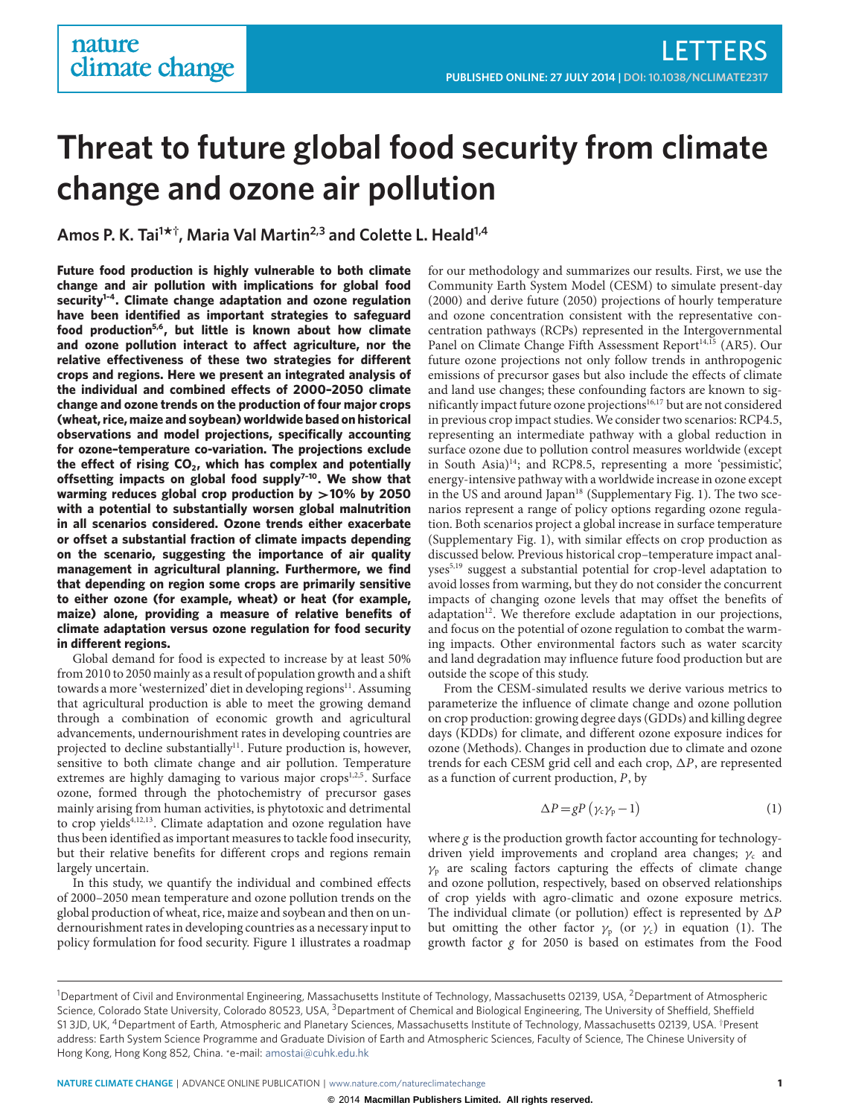# **Threat to future global food security from climate change and ozone air pollution**

**Amos P. K. Tai<sup>1</sup> \* † , Maria Val Martin2,3 and Colette L. Heald1,4**

**Future food production is highly vulnerable to both climate change and air pollution with implications for global food security[1](#page-4-0)[–4](#page-4-1). Climate change adaptation and ozone regulation have been identified as important strategies to safeguard food production[5,](#page-4-2)[6](#page-4-3), but little is known about how climate** and ozone pollution interact to affect agriculture, nor the relative effectiveness of these two strategies for different **crops and regions. Here we present an integrated analysis of** the individual and combined effects of 2000-2050 climate **change and ozone trends on the production of four major crops (wheat, rice, maize and soybean) worldwide based on historical observations and model projections, specifically accounting for ozone–temperature co-variation. The projections exclude** the effect of rising CO<sub>2</sub>, which has complex and potentially **osetting impacts on global food supply[7](#page-4-4)[–10](#page-4-5). We show that warming reduces global crop production by** >**10% by 2050 with a potential to substantially worsen global malnutrition in all scenarios considered. Ozone trends either exacerbate** or offset a substantial fraction of climate impacts depending **on the scenario, suggesting the importance of air quality management in agricultural planning. Furthermore, we find that depending on region some crops are primarily sensitive to either ozone (for example, wheat) or heat (for example, maize) alone, providing a measure of relative benefits of climate adaptation versus ozone regulation for food security** in different regions.

Global demand for food is expected to increase by at least 50% from 2010 to 2050 mainly as a result of population growth and a shift towards a more 'westernized' diet in developing regions<sup>[11](#page-4-6)</sup>. Assuming that agricultural production is able to meet the growing demand through a combination of economic growth and agricultural advancements, undernourishment rates in developing countries are projected to decline substantially<sup>[11](#page-4-6)</sup>. Future production is, however, sensitive to both climate change and air pollution. Temperature extremes are highly damaging to various major crops<sup>[1](#page-4-0)[,2](#page-4-7)[,5](#page-4-2)</sup>. Surface ozone, formed through the photochemistry of precursor gases mainly arising from human activities, is phytotoxic and detrimental to crop yields<sup>[4](#page-4-1)[,12,](#page-4-8)[13](#page-4-9)</sup>. Climate adaptation and ozone regulation have thus been identified as important measures to tackle food insecurity, but their relative benefits for different crops and regions remain largely uncertain.

In this study, we quantify the individual and combined effects of 2000–2050 mean temperature and ozone pollution trends on the global production of wheat, rice, maize and soybean and then on undernourishment rates in developing countries as a necessary input to policy formulation for food security. Figure [1](#page-1-0) illustrates a roadmap

for our methodology and summarizes our results. First, we use the Community Earth System Model (CESM) to simulate present-day (2000) and derive future (2050) projections of hourly temperature and ozone concentration consistent with the representative concentration pathways (RCPs) represented in the Intergovernmental Panel on Climate Change Fifth Assessment Report<sup>[14,](#page-4-10)[15](#page-4-11)</sup> (AR5). Our future ozone projections not only follow trends in anthropogenic emissions of precursor gases but also include the effects of climate and land use changes; these confounding factors are known to sig-nificantly impact future ozone projections<sup>[16,](#page-4-12)[17](#page-4-13)</sup> but are not considered in previous crop impact studies. We consider two scenarios: RCP4.5, representing an intermediate pathway with a global reduction in surface ozone due to pollution control measures worldwide (except in South Asia)[14](#page-4-10); and RCP8.5, representing a more 'pessimistic', energy-intensive pathway with a worldwide increase in ozone except in the US and around Japan $^{18}$  $^{18}$  $^{18}$  (Supplementary Fig. 1). The two scenarios represent a range of policy options regarding ozone regulation. Both scenarios project a global increase in surface temperature (Supplementary Fig. 1), with similar effects on crop production as discussed below. Previous historical crop–temperature impact anal-yses<sup>[5,](#page-4-2)[19](#page-4-15)</sup> suggest a substantial potential for crop-level adaptation to avoid losses from warming, but they do not consider the concurrent impacts of changing ozone levels that may offset the benefits of adaptation<sup>[12](#page-4-8)</sup>. We therefore exclude adaptation in our projections, and focus on the potential of ozone regulation to combat the warming impacts. Other environmental factors such as water scarcity and land degradation may influence future food production but are outside the scope of this study.

From the CESM-simulated results we derive various metrics to parameterize the influence of climate change and ozone pollution on crop production: growing degree days (GDDs) and killing degree days (KDDs) for climate, and different ozone exposure indices for ozone (Methods). Changes in production due to climate and ozone trends for each CESM grid cell and each crop,  $\Delta P$ , are represented as a function of current production,  $P$ , by

<span id="page-0-0"></span>
$$
\Delta P = gP \left( \gamma_c \gamma_p - 1 \right) \tag{1}
$$

where g is the production growth factor accounting for technologydriven yield improvements and cropland area changes;  $\gamma_c$  and  $\gamma_p$  are scaling factors capturing the effects of climate change and ozone pollution, respectively, based on observed relationships of crop yields with agro-climatic and ozone exposure metrics. The individual climate (or pollution) effect is represented by  $\Delta P$ but omitting the other factor  $\gamma_p$  (or  $\gamma_c$ ) in equation [\(1\)](#page-0-0). The growth factor g for 2050 is based on estimates from the Food

**NATURE CLIMATE CHANGE** | ADVANCE ONLINE PUBLICATION | <www.nature.com/natureclimatechange> **1** 

<sup>&</sup>lt;sup>1</sup>Department of Civil and Environmental Engineering, Massachusetts Institute of Technology, Massachusetts 02139, USA, <sup>2</sup>Department of Atmospheric Science, Colorado State University, Colorado 80523, USA, <sup>3</sup>Department of Chemical and Biological Engineering, The University of Sheffield, Sheffield S1 3JD, UK, <sup>4</sup>Department of Earth, Atmospheric and Planetary Sciences, Massachusetts Institute of Technology, Massachusetts 02139, USA. <sup>†</sup>Present address: Earth System Science Programme and Graduate Division of Earth and Atmospheric Sciences, Faculty of Science, The Chinese University of Hong Kong, Hong Kong 852, China. \*e-mail: [amostai@cuhk.edu.hk](mailto:amostai@cuhk.edu.hk)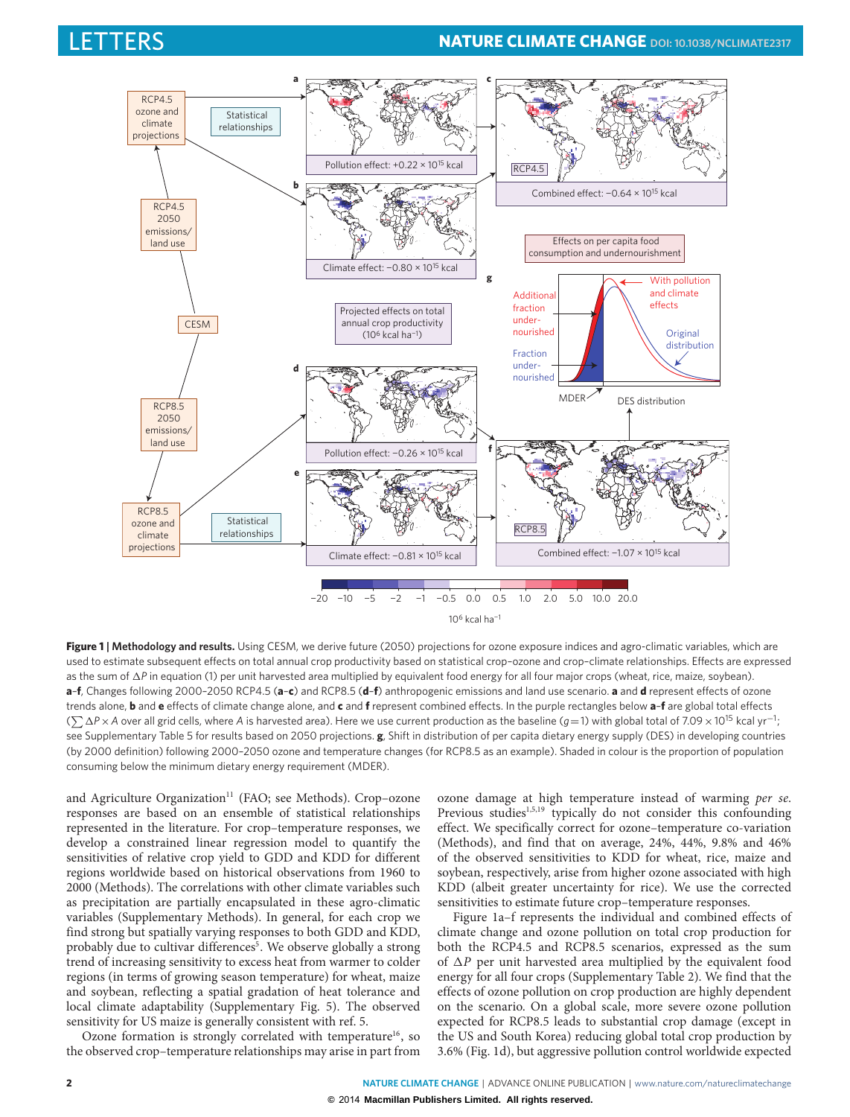

<span id="page-1-0"></span>**Figure 1 | Methodology and results.** Using CESM, we derive future (2050) projections for ozone exposure indices and agro-climatic variables, which are used to estimate subsequent effects on total annual crop productivity based on statistical crop-ozone and crop-climate relationships. Effects are expressed as the sum of  $\Delta P$  in equation [\(1\)](#page-0-0) per unit harvested area multiplied by equivalent food energy for all four major crops (wheat, rice, maize, soybean). **a-f**, Changes following 2000-2050 RCP4.5 (a-c) and RCP8.5 (d-f) anthropogenic emissions and land use scenario. a and d represent effects of ozone trends alone, **b** and **e** effects of climate change alone, and **c** and **f** represent combined effects. In the purple rectangles below **a-f** are global total effects ( $\sum \Delta P \times A$  over all grid cells, where *A* is harvested area). Here we use current production as the baseline (*g*=1) with global total of 7.09 × 10<sup>15</sup> kcal yr<sup>-1</sup>; see Supplementary Table 5 for results based on 2050 projections. **g**, Shift in distribution of per capita dietary energy supply (DES) in developing countries (by 2000 definition) following 2000–2050 ozone and temperature changes (for RCP8.5 as an example). Shaded in colour is the proportion of population consuming below the minimum dietary energy requirement (MDER).

and Agriculture Organization<sup>[11](#page-4-6)</sup> (FAO; see Methods). Crop-ozone responses are based on an ensemble of statistical relationships represented in the literature. For crop–temperature responses, we develop a constrained linear regression model to quantify the sensitivities of relative crop yield to GDD and KDD for different regions worldwide based on historical observations from 1960 to 2000 (Methods). The correlations with other climate variables such as precipitation are partially encapsulated in these agro-climatic variables (Supplementary Methods). In general, for each crop we find strong but spatially varying responses to both GDD and KDD, probably due to cultivar differences<sup>[5](#page-4-2)</sup>. We observe globally a strong trend of increasing sensitivity to excess heat from warmer to colder regions (in terms of growing season temperature) for wheat, maize and soybean, reflecting a spatial gradation of heat tolerance and local climate adaptability (Supplementary Fig. 5). The observed sensitivity for US maize is generally consistent with ref. [5.](#page-4-2)

Ozone formation is strongly correlated with temperature<sup>[16](#page-4-12)</sup>, so the observed crop–temperature relationships may arise in part from

ozone damage at high temperature instead of warming per se. Previous studies<sup>[1,](#page-4-0)[5](#page-4-2)[,19](#page-4-15)</sup> typically do not consider this confounding effect. We specifically correct for ozone–temperature co-variation (Methods), and find that on average, 24%, 44%, 9.8% and 46% of the observed sensitivities to KDD for wheat, rice, maize and soybean, respectively, arise from higher ozone associated with high KDD (albeit greater uncertainty for rice). We use the corrected sensitivities to estimate future crop–temperature responses.

Figure [1a](#page-1-0)–f represents the individual and combined effects of climate change and ozone pollution on total crop production for both the RCP4.5 and RCP8.5 scenarios, expressed as the sum of  $\Delta P$  per unit harvested area multiplied by the equivalent food energy for all four crops (Supplementary Table 2). We find that the effects of ozone pollution on crop production are highly dependent on the scenario. On a global scale, more severe ozone pollution expected for RCP8.5 leads to substantial crop damage (except in the US and South Korea) reducing global total crop production by 3.6% (Fig. [1d](#page-1-0)), but aggressive pollution control worldwide expected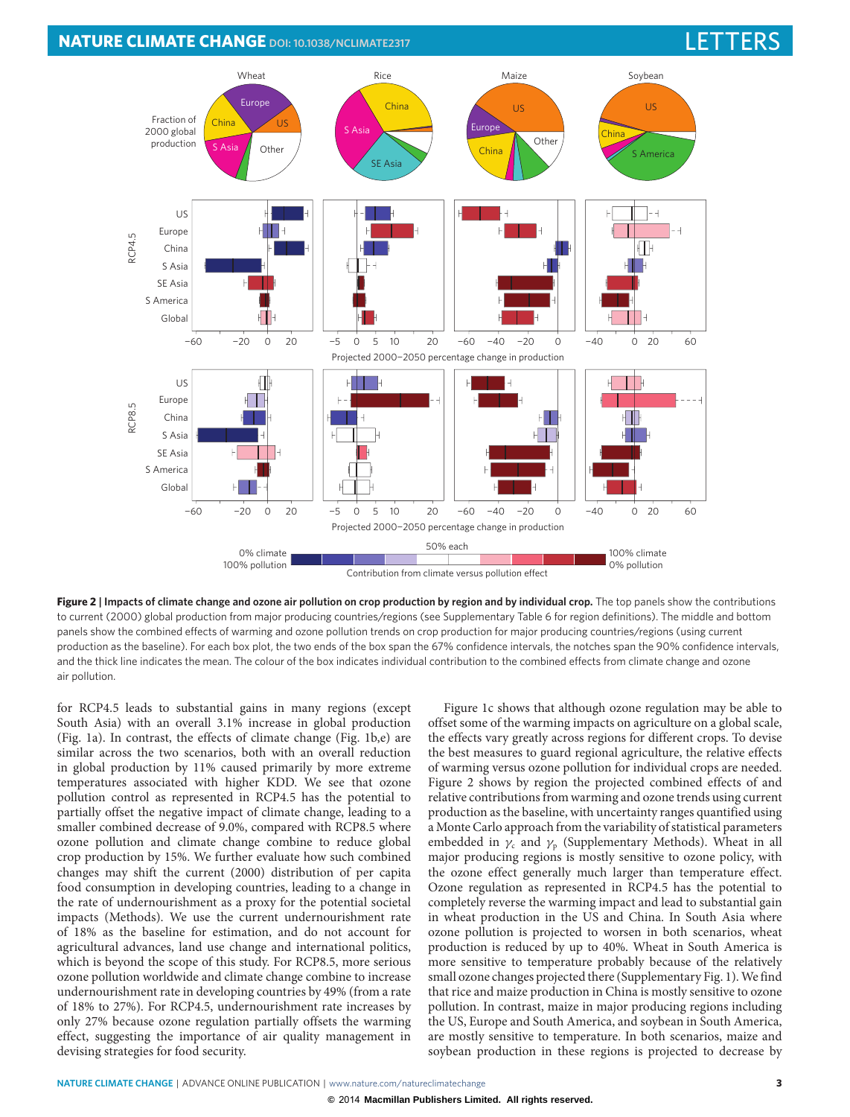### **NATURE CLIMATE CHANGE** DOI: [10.1038/NCLIMATE2317](http://www.nature.com/doifinder/10.1038/nclimate2317)



**Figure 2 | Impacts of climate change and ozone air pollution on crop production by region and by individual crop.** The top panels show the contributions to current (2000) global production from major producing countries/regions (see Supplementary Table 6 for region definitions). The middle and bottom panels show the combined effects of warming and ozone pollution trends on crop production for major producing countries/regions (using current production as the baseline). For each box plot, the two ends of the box span the 67% confidence intervals, the notches span the 90% confidence intervals, and the thick line indicates the mean. The colour of the box indicates individual contribution to the combined effects from climate change and ozone air pollution.

for RCP4.5 leads to substantial gains in many regions (except South Asia) with an overall 3.1% increase in global production (Fig. [1a](#page-1-0)). In contrast, the effects of climate change (Fig. [1b](#page-1-0),e) are similar across the two scenarios, both with an overall reduction in global production by 11% caused primarily by more extreme temperatures associated with higher KDD. We see that ozone pollution control as represented in RCP4.5 has the potential to partially offset the negative impact of climate change, leading to a smaller combined decrease of 9.0%, compared with RCP8.5 where ozone pollution and climate change combine to reduce global crop production by 15%. We further evaluate how such combined changes may shift the current (2000) distribution of per capita food consumption in developing countries, leading to a change in the rate of undernourishment as a proxy for the potential societal impacts (Methods). We use the current undernourishment rate of 18% as the baseline for estimation, and do not account for agricultural advances, land use change and international politics, which is beyond the scope of this study. For RCP8.5, more serious ozone pollution worldwide and climate change combine to increase undernourishment rate in developing countries by 49% (from a rate of 18% to 27%). For RCP4.5, undernourishment rate increases by only 27% because ozone regulation partially offsets the warming effect, suggesting the importance of air quality management in devising strategies for food security.

<span id="page-2-0"></span>Figure [1c](#page-1-0) shows that although ozone regulation may be able to offset some of the warming impacts on agriculture on a global scale, the effects vary greatly across regions for different crops. To devise the best measures to guard regional agriculture, the relative effects of warming versus ozone pollution for individual crops are needed. Figure [2](#page-2-0) shows by region the projected combined effects of and relative contributions from warming and ozone trends using current production as the baseline, with uncertainty ranges quantified using a Monte Carlo approach from the variability of statistical parameters embedded in  $\gamma_c$  and  $\gamma_p$  (Supplementary Methods). Wheat in all major producing regions is mostly sensitive to ozone policy, with the ozone effect generally much larger than temperature effect. Ozone regulation as represented in RCP4.5 has the potential to completely reverse the warming impact and lead to substantial gain in wheat production in the US and China. In South Asia where ozone pollution is projected to worsen in both scenarios, wheat production is reduced by up to 40%. Wheat in South America is more sensitive to temperature probably because of the relatively small ozone changes projected there (Supplementary Fig. 1).We find that rice and maize production in China is mostly sensitive to ozone pollution. In contrast, maize in major producing regions including the US, Europe and South America, and soybean in South America, are mostly sensitive to temperature. In both scenarios, maize and soybean production in these regions is projected to decrease by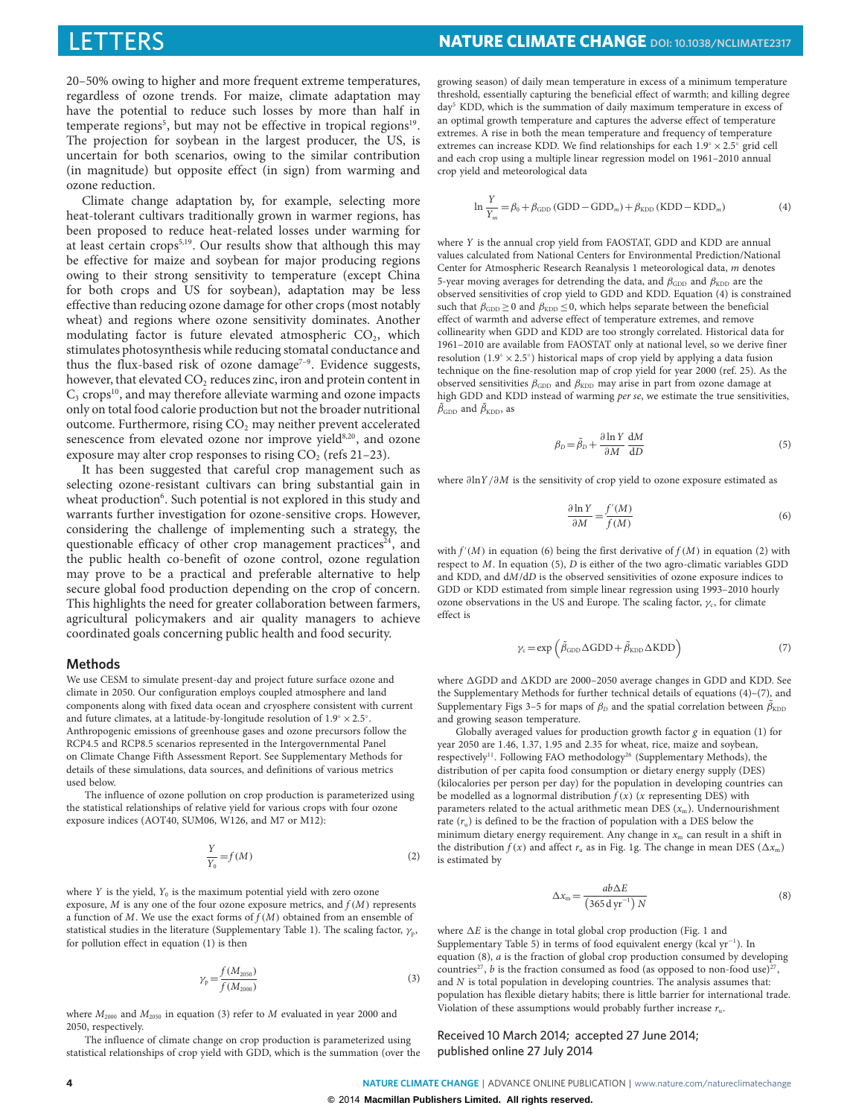20–50% owing to higher and more frequent extreme temperatures, regardless of ozone trends. For maize, climate adaptation may have the potential to reduce such losses by more than half in temperate regions<sup>[5](#page-4-2)</sup>, but may not be effective in tropical regions<sup>[19](#page-4-15)</sup>. The projection for soybean in the largest producer, the US, is uncertain for both scenarios, owing to the similar contribution (in magnitude) but opposite effect (in sign) from warming and ozone reduction.

Climate change adaptation by, for example, selecting more heat-tolerant cultivars traditionally grown in warmer regions, has been proposed to reduce heat-related losses under warming for at least certain crops<sup>[5,](#page-4-2)[19](#page-4-15)</sup>. Our results show that although this may be effective for maize and soybean for major producing regions owing to their strong sensitivity to temperature (except China for both crops and US for soybean), adaptation may be less effective than reducing ozone damage for other crops (most notably wheat) and regions where ozone sensitivity dominates. Another modulating factor is future elevated atmospheric  $CO<sub>2</sub>$ , which stimulates photosynthesis while reducing stomatal conductance and thus the flux-based risk of ozone damage<sup> $7-9$  $7-9$ </sup>. Evidence suggests, however, that elevated CO<sub>2</sub> reduces zinc, iron and protein content in  $C_3$  crops<sup>[10](#page-4-5)</sup>, and may therefore alleviate warming and ozone impacts only on total food calorie production but not the broader nutritional outcome. Furthermore, rising CO<sub>2</sub> may neither prevent accelerated senescence from elevated ozone nor improve yield[8](#page-4-17)[,20](#page-4-18), and ozone exposure may alter crop responses to rising  $CO<sub>2</sub>$  (refs [21](#page-4-19)[–23\)](#page-4-20).

It has been suggested that careful crop management such as selecting ozone-resistant cultivars can bring substantial gain in wheat production<sup>[6](#page-4-3)</sup>. Such potential is not explored in this study and warrants further investigation for ozone-sensitive crops. However, considering the challenge of implementing such a strategy, the questionable efficacy of other crop management practices<sup>[24](#page-4-21)</sup>, and the public health co-benefit of ozone control, ozone regulation may prove to be a practical and preferable alternative to help secure global food production depending on the crop of concern. This highlights the need for greater collaboration between farmers, agricultural policymakers and air quality managers to achieve coordinated goals concerning public health and food security.

### **Methods**

We use CESM to simulate present-day and project future surface ozone and climate in 2050. Our configuration employs coupled atmosphere and land components along with fixed data ocean and cryosphere consistent with current and future climates, at a latitude-by-longitude resolution of  $1.9^\circ \times 2.5^\circ$ . Anthropogenic emissions of greenhouse gases and ozone precursors follow the RCP4.5 and RCP8.5 scenarios represented in the Intergovernmental Panel on Climate Change Fifth Assessment Report. See Supplementary Methods for details of these simulations, data sources, and definitions of various metrics used below.

The influence of ozone pollution on crop production is parameterized using the statistical relationships of relative yield for various crops with four ozone exposure indices (AOT40, SUM06, W126, and M7 or M12):

<span id="page-3-3"></span>
$$
\frac{Y}{Y_0} = f(M) \tag{2}
$$

where  $Y$  is the yield,  $Y_0$  is the maximum potential yield with zero ozone exposure,  $M$  is any one of the four ozone exposure metrics, and  $f(M)$  represents a function of  $M$ . We use the exact forms of  $f(M)$  obtained from an ensemble of statistical studies in the literature (Supplementary Table 1). The scaling factor,  $\gamma_p$ , for pollution effect in equation [\(1\)](#page-0-0) is then

<span id="page-3-0"></span>
$$
\gamma_{\rm p} = \frac{f(M_{2050})}{f(M_{2000})} \tag{3}
$$

where  $M_{2000}$  and  $M_{2050}$  in equation [\(3\)](#page-3-0) refer to  $M$  evaluated in year 2000 and 2050, respectively.

The influence of climate change on crop production is parameterized using statistical relationships of crop yield with GDD, which is the summation (over the

growing season) of daily mean temperature in excess of a minimum temperature threshold, essentially capturing the beneficial effect of warmth; and killing degree day[5](#page-4-2) KDD, which is the summation of daily maximum temperature in excess of an optimal growth temperature and captures the adverse effect of temperature extremes. A rise in both the mean temperature and frequency of temperature extremes can increase KDD. We find relationships for each  $1.9^{\circ} \times 2.5^{\circ}$  grid cell and each crop using a multiple linear regression model on 1961–2010 annual crop yield and meteorological data

<span id="page-3-1"></span>
$$
\ln \frac{Y}{Y_m} = \beta_0 + \beta_{\text{GDD}} (\text{GDD} - \text{GDD}_m) + \beta_{\text{KDD}} (\text{KDD} - \text{KDD}_m)
$$
(4)

where Y is the annual crop yield from FAOSTAT, GDD and KDD are annual values calculated from National Centers for Environmental Prediction/National Center for Atmospheric Research Reanalysis 1 meteorological data, m denotes 5-year moving averages for detrending the data, and  $\beta_{GDD}$  and  $\beta_{KDD}$  are the observed sensitivities of crop yield to GDD and KDD. Equation [\(4\)](#page-3-1) is constrained such that  $\beta_{\rm GDD} \ge 0$  and  $\beta_{\rm KDD} \le 0$ , which helps separate between the beneficial effect of warmth and adverse effect of temperature extremes, and remove collinearity when GDD and KDD are too strongly correlated. Historical data for 1961–2010 are available from FAOSTAT only at national level, so we derive finer resolution (1.9◦ ×2.5◦ ) historical maps of crop yield by applying a data fusion technique on the fine-resolution map of crop yield for year 2000 (ref. [25\)](#page-4-22). As the observed sensitivities  $\beta_{\text{GDD}}$  and  $\beta_{\text{KDD}}$  may arise in part from ozone damage at high GDD and KDD instead of warming per se, we estimate the true sensitivities,  $\tilde{\beta}_{\text{GDD}}$  and  $\tilde{\beta}_{\text{KDD}}$ , as

<span id="page-3-4"></span>
$$
\beta_D = \tilde{\beta}_D + \frac{\partial \ln Y}{\partial M} \frac{dM}{dD} \tag{5}
$$

where ∂lnY/∂M is the sensitivity of crop yield to ozone exposure estimated as

<span id="page-3-2"></span>
$$
\frac{\partial \ln Y}{\partial M} = \frac{f'(M)}{f(M)}\tag{6}
$$

with  $f'(M)$  in equation [\(6\)](#page-3-2) being the first derivative of  $f(M)$  in equation [\(2\)](#page-3-3) with respect to M. In equation [\(5\)](#page-3-4), D is either of the two agro-climatic variables GDD and KDD, and dM/dD is the observed sensitivities of ozone exposure indices to GDD or KDD estimated from simple linear regression using 1993–2010 hourly ozone observations in the US and Europe. The scaling factor,  $\gamma_c$ , for climate effect is

<span id="page-3-5"></span>
$$
\gamma_{\rm c} = \exp\left(\tilde{\beta}_{\rm GDD} \Delta \rm{GDD} + \tilde{\beta}_{\rm KDD} \Delta \rm{KDD}\right) \tag{7}
$$

where  $\Delta$ GDD and  $\Delta$ KDD are 2000–2050 average changes in GDD and KDD. See the Supplementary Methods for further technical details of equations [\(4\)](#page-3-1)–[\(7\)](#page-3-5), and Supplementary Figs 3-5 for maps of  $\beta_D$  and the spatial correlation between  $\tilde{\beta}_{KDD}$ and growing season temperature.

Globally averaged values for production growth factor  $g$  in equation [\(1\)](#page-0-0) for year 2050 are 1.46, 1.37, 1.95 and 2.35 for wheat, rice, maize and soybean, respectively<sup>[11](#page-4-6)</sup>. Following FAO methodology<sup>[26](#page-4-23)</sup> (Supplementary Methods), the distribution of per capita food consumption or dietary energy supply (DES) (kilocalories per person per day) for the population in developing countries can be modelled as a lognormal distribution  $f(x)$  (x representing DES) with parameters related to the actual arithmetic mean DES  $(x_m)$ . Undernourishment rate  $(r_u)$  is defined to be the fraction of population with a DES below the minimum dietary energy requirement. Any change in  $x<sub>m</sub>$  can result in a shift in the distribution  $f(x)$  and affect  $r_u$  as in Fig. [1g](#page-1-0). The change in mean DES ( $\Delta x_m$ ) is estimated by

<span id="page-3-6"></span>
$$
\Delta x_{\rm m} = \frac{ab\Delta E}{\left(365\,\text{d}\,\text{yr}^{-1}\right)N} \tag{8}
$$

where  $\Delta E$  is the change in total global crop production (Fig. [1](#page-1-0) and Supplementary Table 5) in terms of food equivalent energy (kcal yr<sup>−</sup><sup>1</sup> ). In equation [\(8\)](#page-3-6), a is the fraction of global crop production consumed by developing countries<sup>[27](#page-4-24)</sup>, *b* is the fraction consumed as food (as opposed to non-food use)<sup>27</sup>, and  $N$  is total population in developing countries. The analysis assumes that: population has flexible dietary habits; there is little barrier for international trade. Violation of these assumptions would probably further increase  $r_u$ .

Received 10 March 2014; accepted 27 June 2014; published online 27 July 2014